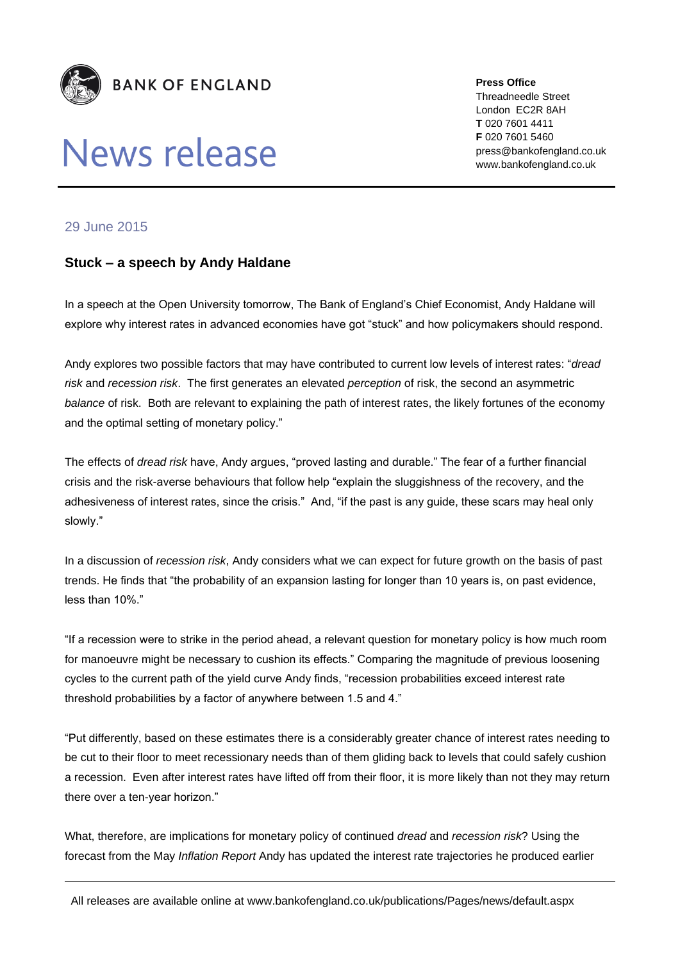

## News release

**Press Office** Threadneedle Street London EC2R 8AH **T** 020 7601 4411 **F** 020 7601 5460 press@bankofengland.co.uk www.bankofengland.co.uk

## 29 June 2015

## **Stuck – a speech by Andy Haldane**

In a speech at the Open University tomorrow, The Bank of England's Chief Economist, Andy Haldane will explore why interest rates in advanced economies have got "stuck" and how policymakers should respond.

Andy explores two possible factors that may have contributed to current low levels of interest rates: "*dread risk* and *recession risk*. The first generates an elevated *perception* of risk, the second an asymmetric *balance* of risk. Both are relevant to explaining the path of interest rates, the likely fortunes of the economy and the optimal setting of monetary policy."

The effects of *dread risk* have, Andy argues, "proved lasting and durable." The fear of a further financial crisis and the risk-averse behaviours that follow help "explain the sluggishness of the recovery, and the adhesiveness of interest rates, since the crisis." And, "if the past is any guide, these scars may heal only slowly."

In a discussion of *recession risk*, Andy considers what we can expect for future growth on the basis of past trends. He finds that "the probability of an expansion lasting for longer than 10 years is, on past evidence, less than 10%."

"If a recession were to strike in the period ahead, a relevant question for monetary policy is how much room for manoeuvre might be necessary to cushion its effects." Comparing the magnitude of previous loosening cycles to the current path of the yield curve Andy finds, "recession probabilities exceed interest rate threshold probabilities by a factor of anywhere between 1.5 and 4."

"Put differently, based on these estimates there is a considerably greater chance of interest rates needing to be cut to their floor to meet recessionary needs than of them gliding back to levels that could safely cushion a recession. Even after interest rates have lifted off from their floor, it is more likely than not they may return there over a ten-year horizon."

What, therefore, are implications for monetary policy of continued *dread* and *recession risk*? Using the forecast from the May *Inflation Report* Andy has updated the interest rate trajectories he produced earlier